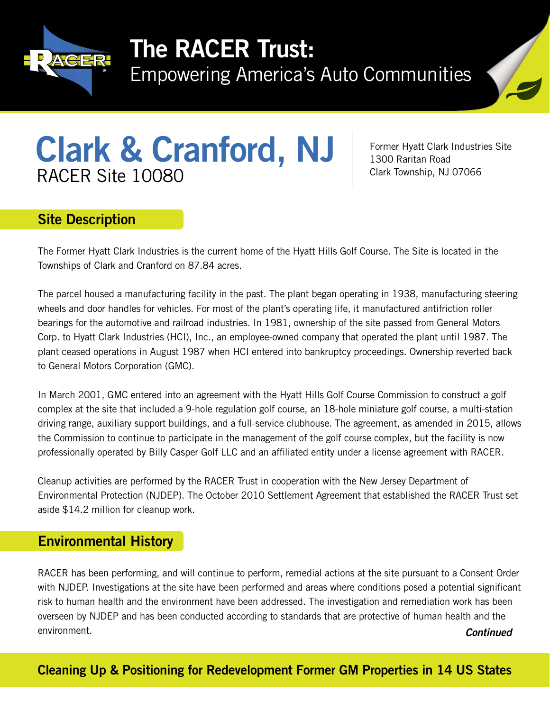

# The RACER Trust:

Empowering America's Auto Communities



# Clark & Cranford, NJ RACER Site 10080

Former Hyatt Clark Industries Site 1300 Raritan Road Clark Township, NJ 07066

### Site Description

The Former Hyatt Clark Industries is the current home of the Hyatt Hills Golf Course. The Site is located in the Townships of Clark and Cranford on 87.84 acres.

The parcel housed a manufacturing facility in the past. The plant began operating in 1938, manufacturing steering wheels and door handles for vehicles. For most of the plant's operating life, it manufactured antifriction roller bearings for the automotive and railroad industries. In 1981, ownership of the site passed from General Motors Corp. to Hyatt Clark Industries (HCI), Inc., an employee-owned company that operated the plant until 1987. The plant ceased operations in August 1987 when HCI entered into bankruptcy proceedings. Ownership reverted back to General Motors Corporation (GMC).

In March 2001, GMC entered into an agreement with the Hyatt Hills Golf Course Commission to construct a golf complex at the site that included a 9-hole regulation golf course, an 18-hole miniature golf course, a multi-station driving range, auxiliary support buildings, and a full-service clubhouse. The agreement, as amended in 2015, allows the Commission to continue to participate in the management of the golf course complex, but the facility is now professionally operated by Billy Casper Golf LLC and an affiliated entity under a license agreement with RACER.

Cleanup activities are performed by the RACER Trust in cooperation with the New Jersey Department of Environmental Protection (NJDEP). The October 2010 Settlement Agreement that established the RACER Trust set aside \$14.2 million for cleanup work.

#### Environmental History

*Continued* RACER has been performing, and will continue to perform, remedial actions at the site pursuant to a Consent Order with NJDEP. Investigations at the site have been performed and areas where conditions posed a potential significant risk to human health and the environment have been addressed. The investigation and remediation work has been overseen by NJDEP and has been conducted according to standards that are protective of human health and the environment.